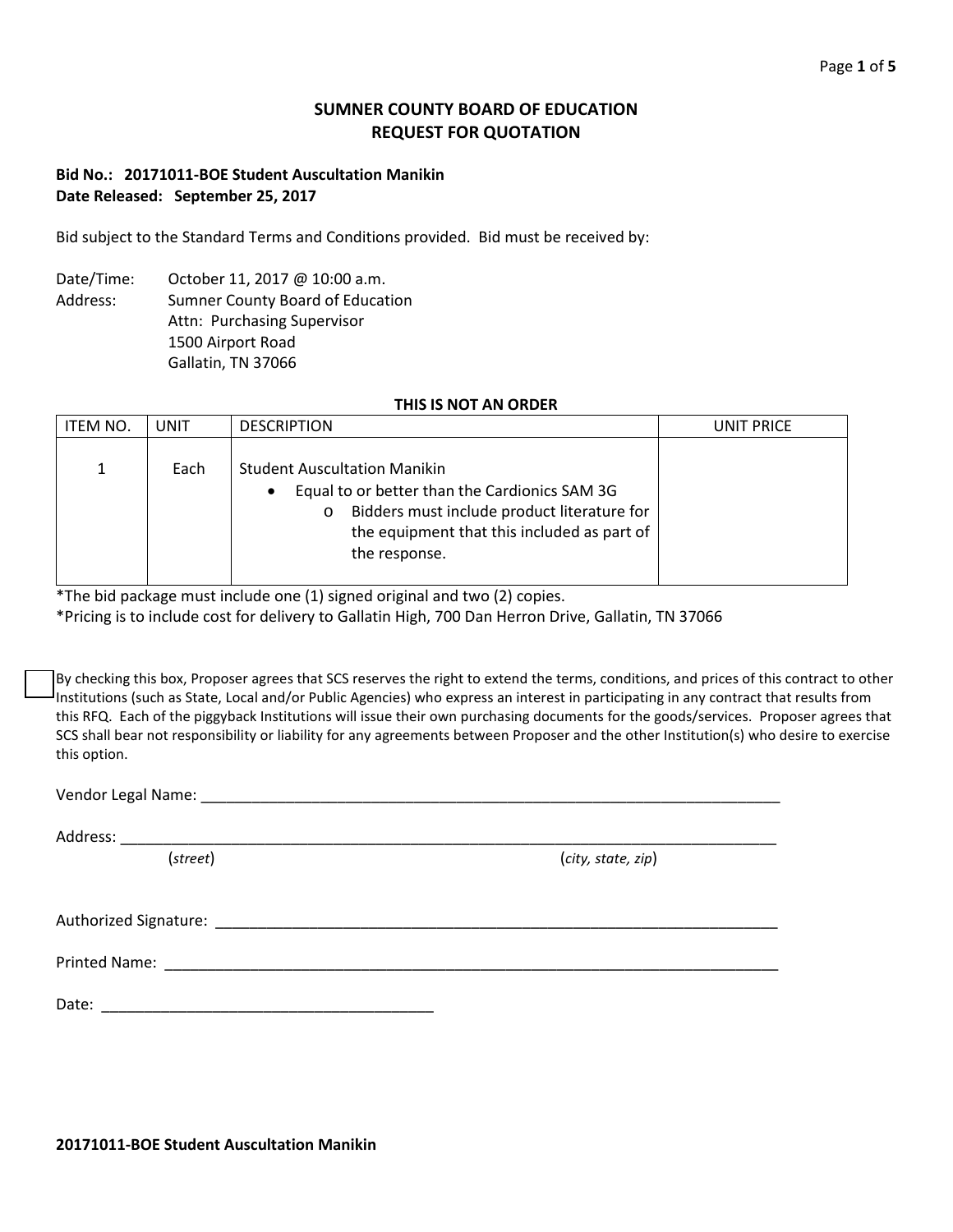# **SUMNER COUNTY BOARD OF EDUCATION REQUEST FOR QUOTATION**

# **Bid No.: 20171011-BOE Student Auscultation Manikin Date Released: September 25, 2017**

Bid subject to the Standard Terms and Conditions provided. Bid must be received by:

Date/Time: October 11, 2017 @ 10:00 a.m. Address: Sumner County Board of Education Attn: Purchasing Supervisor 1500 Airport Road Gallatin, TN 37066

## **THIS IS NOT AN ORDER**

| <b>ITEM NO.</b> | <b>UNIT</b> | <b>DESCRIPTION</b>                                                                                                                                                                                                  | UNIT PRICE |
|-----------------|-------------|---------------------------------------------------------------------------------------------------------------------------------------------------------------------------------------------------------------------|------------|
| 1               | Each        | <b>Student Auscultation Manikin</b><br>Equal to or better than the Cardionics SAM 3G<br>٠<br>Bidders must include product literature for<br>$\circ$<br>the equipment that this included as part of<br>the response. |            |

\*The bid package must include one (1) signed original and two (2) copies.

\*Pricing is to include cost for delivery to Gallatin High, 700 Dan Herron Drive, Gallatin, TN 37066

By checking this box, Proposer agrees that SCS reserves the right to extend the terms, conditions, and prices of this contract to other Institutions (such as State, Local and/or Public Agencies) who express an interest in participating in any contract that results from this RFQ. Each of the piggyback Institutions will issue their own purchasing documents for the goods/services. Proposer agrees that SCS shall bear not responsibility or liability for any agreements between Proposer and the other Institution(s) who desire to exercise this option.

Vendor Legal Name: **Wendor Legal Name**: **Wendor Legal Name** 

Address: \_\_\_\_\_\_\_\_\_\_\_\_\_\_\_\_\_\_\_\_\_\_\_\_\_\_\_\_\_\_\_\_\_\_\_\_\_\_\_\_\_\_\_\_\_\_\_\_\_\_\_\_\_\_\_\_\_\_\_\_\_\_\_\_\_\_\_\_\_\_\_\_\_\_\_\_\_

(*street*) (*city, state, zip*)

Authorized Signature: \_\_\_\_\_\_\_\_\_\_\_\_\_\_\_\_\_\_\_\_\_\_\_\_\_\_\_\_\_\_\_\_\_\_\_\_\_\_\_\_\_\_\_\_\_\_\_\_\_\_\_\_\_\_\_\_\_\_\_\_\_\_\_\_\_\_

Printed Name: \_\_\_\_\_\_\_\_\_\_\_\_\_\_\_\_\_\_\_\_\_\_\_\_\_\_\_\_\_\_\_\_\_\_\_\_\_\_\_\_\_\_\_\_\_\_\_\_\_\_\_\_\_\_\_\_\_\_\_\_\_\_\_\_\_\_\_\_\_\_\_\_

Date: \_\_\_\_\_\_\_\_\_\_\_\_\_\_\_\_\_\_\_\_\_\_\_\_\_\_\_\_\_\_\_\_\_\_\_\_\_\_\_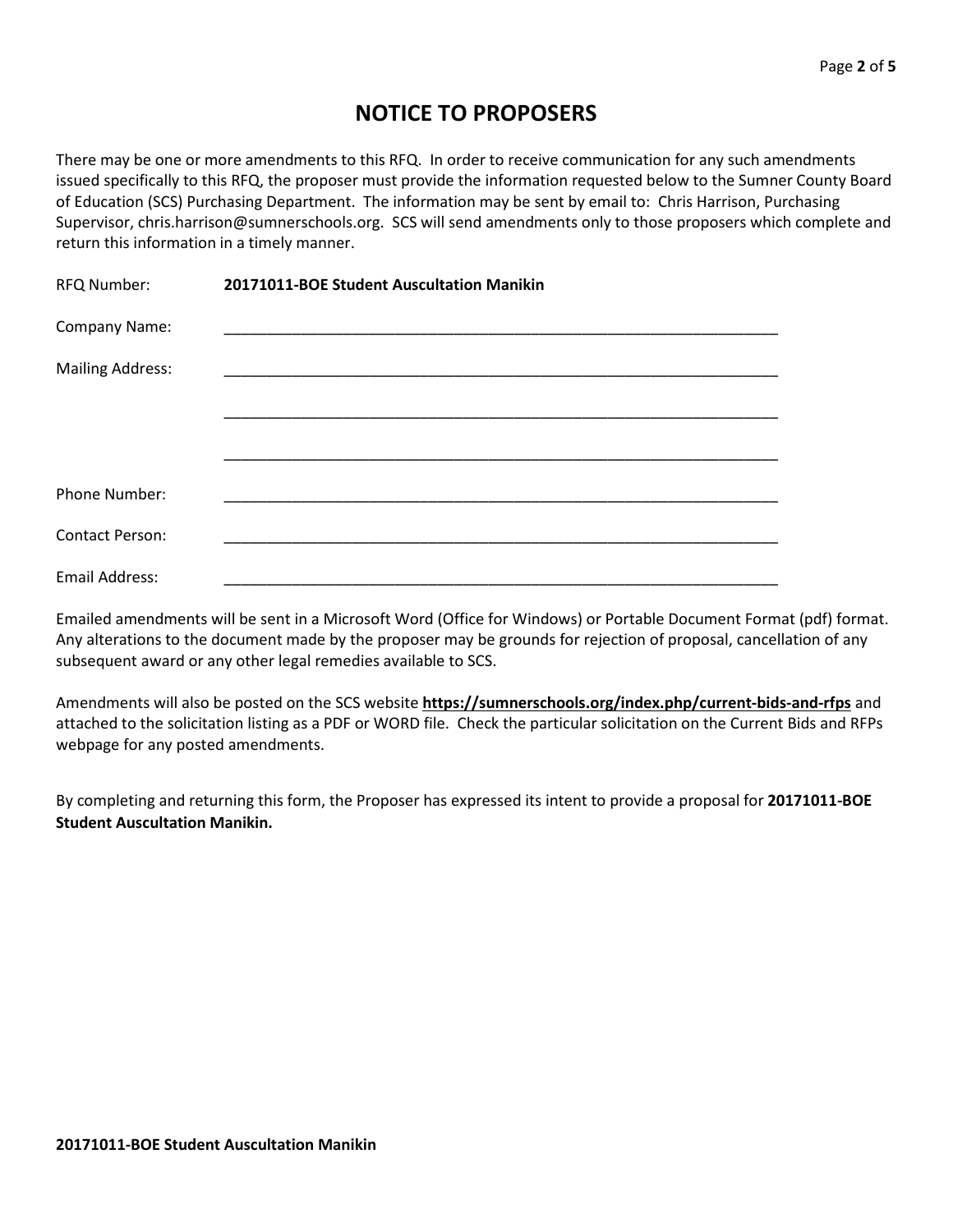# **NOTICE TO PROPOSERS**

There may be one or more amendments to this RFQ. In order to receive communication for any such amendments issued specifically to this RFQ, the proposer must provide the information requested below to the Sumner County Board of Education (SCS) Purchasing Department. The information may be sent by email to: Chris Harrison, Purchasing Supervisor, chris.harrison@sumnerschools.org. SCS will send amendments only to those proposers which complete and return this information in a timely manner.

| RFQ Number:             | 20171011-BOE Student Auscultation Manikin |
|-------------------------|-------------------------------------------|
| Company Name:           |                                           |
| <b>Mailing Address:</b> |                                           |
|                         |                                           |
|                         |                                           |
| Phone Number:           |                                           |
| <b>Contact Person:</b>  |                                           |
| Email Address:          |                                           |

Emailed amendments will be sent in a Microsoft Word (Office for Windows) or Portable Document Format (pdf) format. Any alterations to the document made by the proposer may be grounds for rejection of proposal, cancellation of any subsequent award or any other legal remedies available to SCS.

Amendments will also be posted on the SCS website **https://sumnerschools.org/index.php/current-bids-and-rfps** and attached to the solicitation listing as a PDF or WORD file. Check the particular solicitation on the Current Bids and RFPs webpage for any posted amendments.

By completing and returning this form, the Proposer has expressed its intent to provide a proposal for **20171011-BOE Student Auscultation Manikin.**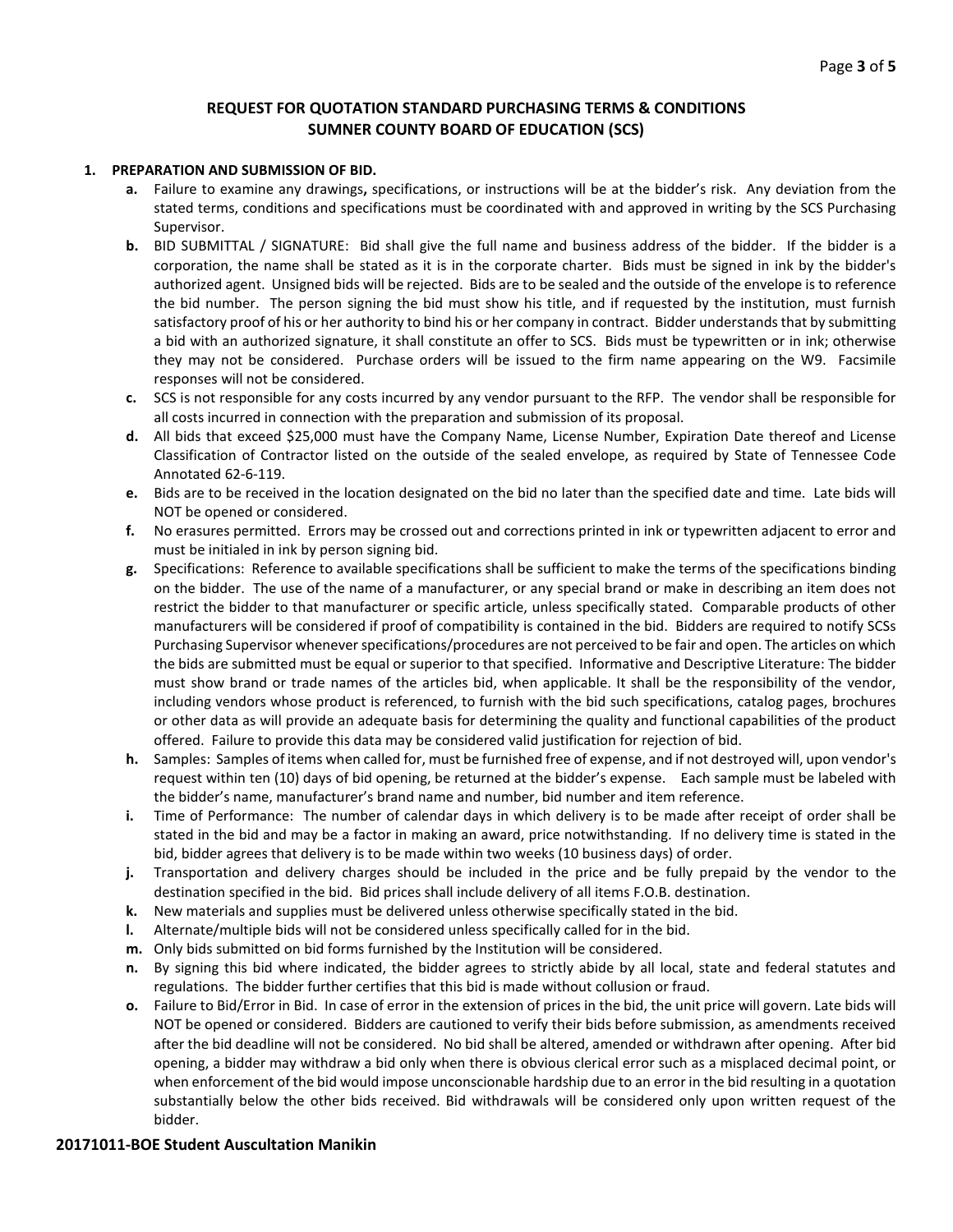## **REQUEST FOR QUOTATION STANDARD PURCHASING TERMS & CONDITIONS SUMNER COUNTY BOARD OF EDUCATION (SCS)**

#### **1. PREPARATION AND SUBMISSION OF BID.**

- **a.** Failure to examine any drawings**,** specifications, or instructions will be at the bidder's risk. Any deviation from the stated terms, conditions and specifications must be coordinated with and approved in writing by the SCS Purchasing Supervisor.
- **b.** BID SUBMITTAL / SIGNATURE: Bid shall give the full name and business address of the bidder. If the bidder is a corporation, the name shall be stated as it is in the corporate charter. Bids must be signed in ink by the bidder's authorized agent. Unsigned bids will be rejected. Bids are to be sealed and the outside of the envelope is to reference the bid number. The person signing the bid must show his title, and if requested by the institution, must furnish satisfactory proof of his or her authority to bind his or her company in contract. Bidder understands that by submitting a bid with an authorized signature, it shall constitute an offer to SCS. Bids must be typewritten or in ink; otherwise they may not be considered. Purchase orders will be issued to the firm name appearing on the W9. Facsimile responses will not be considered.
- **c.** SCS is not responsible for any costs incurred by any vendor pursuant to the RFP. The vendor shall be responsible for all costs incurred in connection with the preparation and submission of its proposal.
- **d.** All bids that exceed \$25,000 must have the Company Name, License Number, Expiration Date thereof and License Classification of Contractor listed on the outside of the sealed envelope, as required by State of Tennessee Code Annotated 62-6-119.
- **e.** Bids are to be received in the location designated on the bid no later than the specified date and time. Late bids will NOT be opened or considered.
- **f.** No erasures permitted. Errors may be crossed out and corrections printed in ink or typewritten adjacent to error and must be initialed in ink by person signing bid.
- **g.** Specifications: Reference to available specifications shall be sufficient to make the terms of the specifications binding on the bidder. The use of the name of a manufacturer, or any special brand or make in describing an item does not restrict the bidder to that manufacturer or specific article, unless specifically stated. Comparable products of other manufacturers will be considered if proof of compatibility is contained in the bid. Bidders are required to notify SCSs Purchasing Supervisor whenever specifications/procedures are not perceived to be fair and open. The articles on which the bids are submitted must be equal or superior to that specified. Informative and Descriptive Literature: The bidder must show brand or trade names of the articles bid, when applicable. It shall be the responsibility of the vendor, including vendors whose product is referenced, to furnish with the bid such specifications, catalog pages, brochures or other data as will provide an adequate basis for determining the quality and functional capabilities of the product offered. Failure to provide this data may be considered valid justification for rejection of bid.
- **h.** Samples: Samples of items when called for, must be furnished free of expense, and if not destroyed will, upon vendor's request within ten (10) days of bid opening, be returned at the bidder's expense. Each sample must be labeled with the bidder's name, manufacturer's brand name and number, bid number and item reference.
- **i.** Time of Performance: The number of calendar days in which delivery is to be made after receipt of order shall be stated in the bid and may be a factor in making an award, price notwithstanding. If no delivery time is stated in the bid, bidder agrees that delivery is to be made within two weeks (10 business days) of order.
- **j.** Transportation and delivery charges should be included in the price and be fully prepaid by the vendor to the destination specified in the bid. Bid prices shall include delivery of all items F.O.B. destination.
- **k.** New materials and supplies must be delivered unless otherwise specifically stated in the bid.
- **l.** Alternate/multiple bids will not be considered unless specifically called for in the bid.
- **m.** Only bids submitted on bid forms furnished by the Institution will be considered.
- **n.** By signing this bid where indicated, the bidder agrees to strictly abide by all local, state and federal statutes and regulations. The bidder further certifies that this bid is made without collusion or fraud.
- **o.** Failure to Bid/Error in Bid. In case of error in the extension of prices in the bid, the unit price will govern. Late bids will NOT be opened or considered. Bidders are cautioned to verify their bids before submission, as amendments received after the bid deadline will not be considered. No bid shall be altered, amended or withdrawn after opening. After bid opening, a bidder may withdraw a bid only when there is obvious clerical error such as a misplaced decimal point, or when enforcement of the bid would impose unconscionable hardship due to an error in the bid resulting in a quotation substantially below the other bids received. Bid withdrawals will be considered only upon written request of the bidder.

#### **20171011-BOE Student Auscultation Manikin**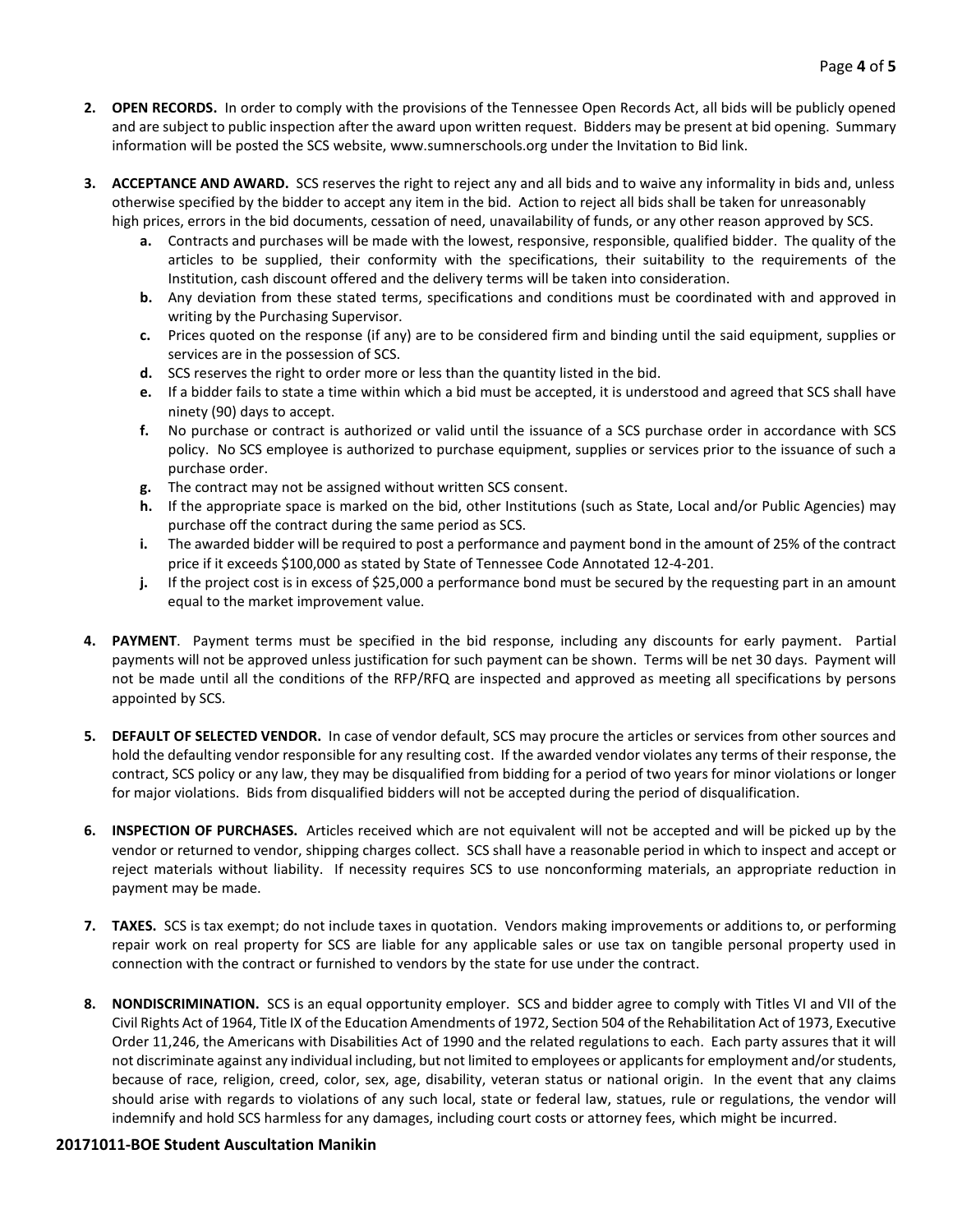- **2. OPEN RECORDS.** In order to comply with the provisions of the Tennessee Open Records Act, all bids will be publicly opened and are subject to public inspection after the award upon written request. Bidders may be present at bid opening. Summary information will be posted the SCS website, www.sumnerschools.org under the Invitation to Bid link.
- **3. ACCEPTANCE AND AWARD.** SCS reserves the right to reject any and all bids and to waive any informality in bids and, unless otherwise specified by the bidder to accept any item in the bid. Action to reject all bids shall be taken for unreasonably high prices, errors in the bid documents, cessation of need, unavailability of funds, or any other reason approved by SCS.
	- **a.** Contracts and purchases will be made with the lowest, responsive, responsible, qualified bidder. The quality of the articles to be supplied, their conformity with the specifications, their suitability to the requirements of the Institution, cash discount offered and the delivery terms will be taken into consideration.
	- **b.** Any deviation from these stated terms, specifications and conditions must be coordinated with and approved in writing by the Purchasing Supervisor.
	- **c.** Prices quoted on the response (if any) are to be considered firm and binding until the said equipment, supplies or services are in the possession of SCS.
	- **d.** SCS reserves the right to order more or less than the quantity listed in the bid.
	- **e.** If a bidder fails to state a time within which a bid must be accepted, it is understood and agreed that SCS shall have ninety (90) days to accept.
	- **f.** No purchase or contract is authorized or valid until the issuance of a SCS purchase order in accordance with SCS policy. No SCS employee is authorized to purchase equipment, supplies or services prior to the issuance of such a purchase order.
	- **g.** The contract may not be assigned without written SCS consent.
	- **h.** If the appropriate space is marked on the bid, other Institutions (such as State, Local and/or Public Agencies) may purchase off the contract during the same period as SCS.
	- **i.** The awarded bidder will be required to post a performance and payment bond in the amount of 25% of the contract price if it exceeds \$100,000 as stated by State of Tennessee Code Annotated 12-4-201.
	- **j.** If the project cost is in excess of \$25,000 a performance bond must be secured by the requesting part in an amount equal to the market improvement value.
- **4. PAYMENT**. Payment terms must be specified in the bid response, including any discounts for early payment. Partial payments will not be approved unless justification for such payment can be shown. Terms will be net 30 days. Payment will not be made until all the conditions of the RFP/RFQ are inspected and approved as meeting all specifications by persons appointed by SCS.
- **5. DEFAULT OF SELECTED VENDOR.** In case of vendor default, SCS may procure the articles or services from other sources and hold the defaulting vendor responsible for any resulting cost. If the awarded vendor violates any terms of their response, the contract, SCS policy or any law, they may be disqualified from bidding for a period of two years for minor violations or longer for major violations. Bids from disqualified bidders will not be accepted during the period of disqualification.
- **6. INSPECTION OF PURCHASES.** Articles received which are not equivalent will not be accepted and will be picked up by the vendor or returned to vendor, shipping charges collect. SCS shall have a reasonable period in which to inspect and accept or reject materials without liability. If necessity requires SCS to use nonconforming materials, an appropriate reduction in payment may be made.
- **7. TAXES.** SCS is tax exempt; do not include taxes in quotation. Vendors making improvements or additions to, or performing repair work on real property for SCS are liable for any applicable sales or use tax on tangible personal property used in connection with the contract or furnished to vendors by the state for use under the contract.
- **8. NONDISCRIMINATION.** SCS is an equal opportunity employer. SCS and bidder agree to comply with Titles VI and VII of the Civil Rights Act of 1964, Title IX of the Education Amendments of 1972, Section 504 of the Rehabilitation Act of 1973, Executive Order 11,246, the Americans with Disabilities Act of 1990 and the related regulations to each. Each party assures that it will not discriminate against any individual including, but not limited to employees or applicants for employment and/or students, because of race, religion, creed, color, sex, age, disability, veteran status or national origin. In the event that any claims should arise with regards to violations of any such local, state or federal law, statues, rule or regulations, the vendor will indemnify and hold SCS harmless for any damages, including court costs or attorney fees, which might be incurred.

## **20171011-BOE Student Auscultation Manikin**